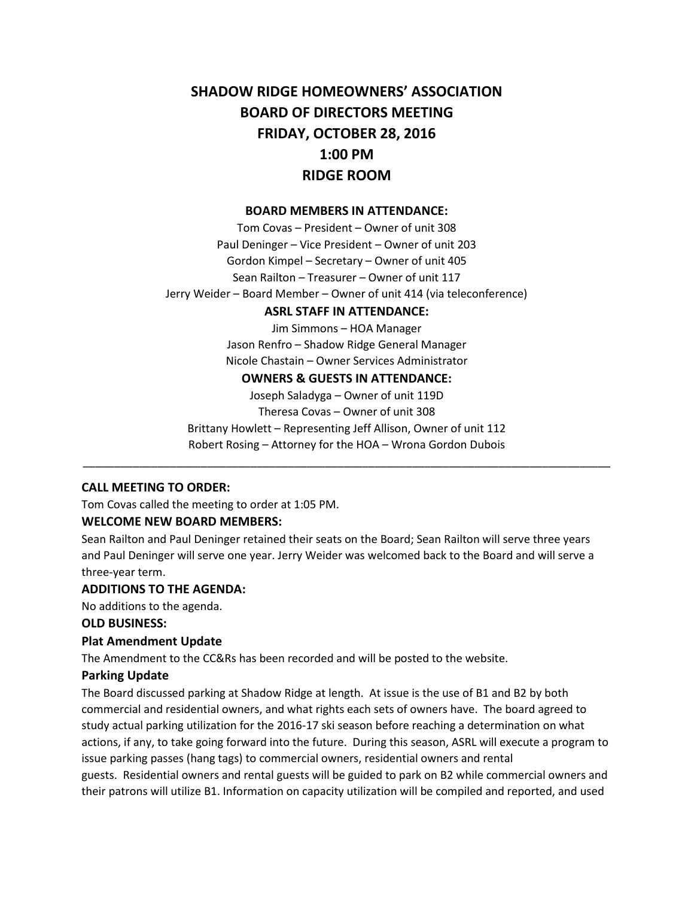# **SHADOW RIDGE HOMEOWNERS' ASSOCIATION BOARD OF DIRECTORS MEETING FRIDAY, OCTOBER 28, 2016 1:00 PM RIDGE ROOM**

#### **BOARD MEMBERS IN ATTENDANCE:**

Tom Covas – President – Owner of unit 308 Paul Deninger – Vice President – Owner of unit 203 Gordon Kimpel – Secretary – Owner of unit 405 Sean Railton – Treasurer – Owner of unit 117 Jerry Weider – Board Member – Owner of unit 414 (via teleconference)

#### **ASRL STAFF IN ATTENDANCE:**

Jim Simmons – HOA Manager Jason Renfro – Shadow Ridge General Manager Nicole Chastain – Owner Services Administrator

#### **OWNERS & GUESTS IN ATTENDANCE:**

Joseph Saladyga – Owner of unit 119D Theresa Covas – Owner of unit 308 Brittany Howlett – Representing Jeff Allison, Owner of unit 112 Robert Rosing – Attorney for the HOA – Wrona Gordon Dubois

\_\_\_\_\_\_\_\_\_\_\_\_\_\_\_\_\_\_\_\_\_\_\_\_\_\_\_\_\_\_\_\_\_\_\_\_\_\_\_\_\_\_\_\_\_\_\_\_\_\_\_\_\_\_\_\_\_\_\_\_\_\_\_\_\_\_\_\_\_\_\_\_\_\_\_\_\_\_\_\_\_\_\_\_\_

#### **CALL MEETING TO ORDER:**

Tom Covas called the meeting to order at 1:05 PM.

#### **WELCOME NEW BOARD MEMBERS:**

Sean Railton and Paul Deninger retained their seats on the Board; Sean Railton will serve three years and Paul Deninger will serve one year. Jerry Weider was welcomed back to the Board and will serve a three-year term.

#### **ADDITIONS TO THE AGENDA:**

No additions to the agenda.

#### **OLD BUSINESS:**

#### **Plat Amendment Update**

The Amendment to the CC&Rs has been recorded and will be posted to the website.

#### **Parking Update**

The Board discussed parking at Shadow Ridge at length. At issue is the use of B1 and B2 by both commercial and residential owners, and what rights each sets of owners have. The board agreed to study actual parking utilization for the 2016-17 ski season before reaching a determination on what actions, if any, to take going forward into the future. During this season, ASRL will execute a program to issue parking passes (hang tags) to commercial owners, residential owners and rental guests. Residential owners and rental guests will be guided to park on B2 while commercial owners and their patrons will utilize B1. Information on capacity utilization will be compiled and reported, and used